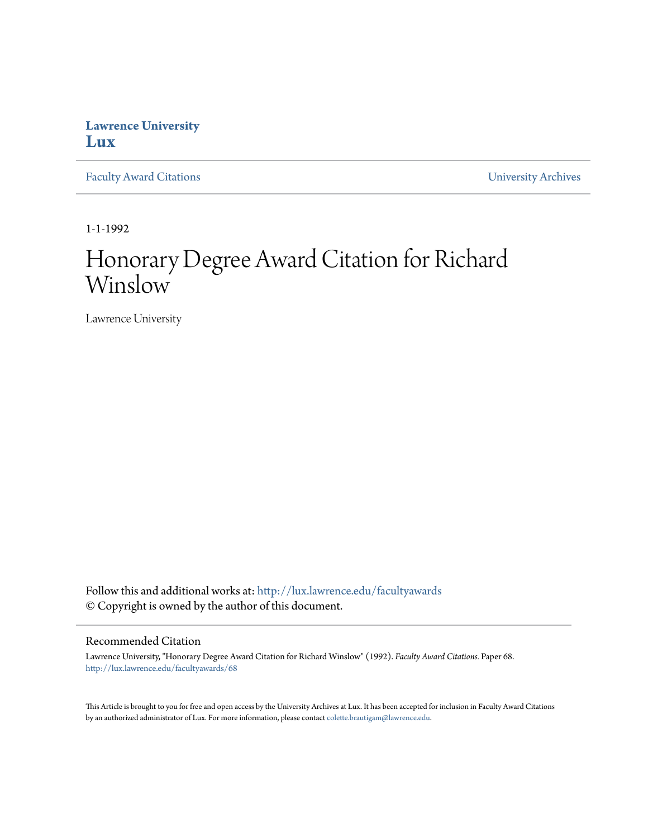## **Lawrence University [Lux](http://lux.lawrence.edu?utm_source=lux.lawrence.edu%2Ffacultyawards%2F68&utm_medium=PDF&utm_campaign=PDFCoverPages)**

[Faculty Award Citations](http://lux.lawrence.edu/facultyawards?utm_source=lux.lawrence.edu%2Ffacultyawards%2F68&utm_medium=PDF&utm_campaign=PDFCoverPages) **Example 2018** [University Archives](http://lux.lawrence.edu/archives?utm_source=lux.lawrence.edu%2Ffacultyawards%2F68&utm_medium=PDF&utm_campaign=PDFCoverPages)

1-1-1992

# Honorary Degree Award Citation for Richard Winslow

Lawrence University

Follow this and additional works at: [http://lux.lawrence.edu/facultyawards](http://lux.lawrence.edu/facultyawards?utm_source=lux.lawrence.edu%2Ffacultyawards%2F68&utm_medium=PDF&utm_campaign=PDFCoverPages) © Copyright is owned by the author of this document.

#### Recommended Citation

Lawrence University, "Honorary Degree Award Citation for Richard Winslow" (1992). *Faculty Award Citations.* Paper 68. [http://lux.lawrence.edu/facultyawards/68](http://lux.lawrence.edu/facultyawards/68?utm_source=lux.lawrence.edu%2Ffacultyawards%2F68&utm_medium=PDF&utm_campaign=PDFCoverPages)

This Article is brought to you for free and open access by the University Archives at Lux. It has been accepted for inclusion in Faculty Award Citations by an authorized administrator of Lux. For more information, please contact [colette.brautigam@lawrence.edu](mailto:colette.brautigam@lawrence.edu).